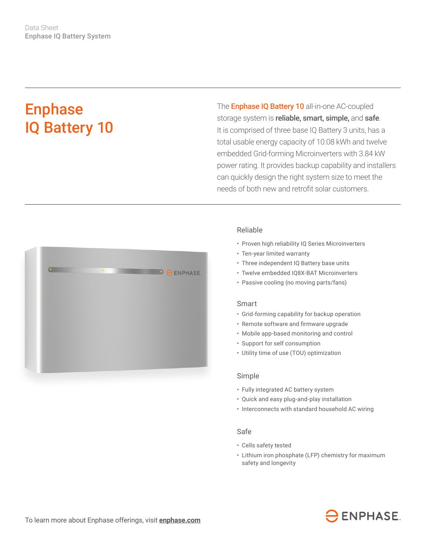# Enphase IQ Battery 10

The **Enphase IQ Battery 10** all-in-one AC-coupled storage system is reliable, smart, simple, and safe. It is comprised of three base IQ Battery 3 units, has a total usable energy capacity of 10.08 kWh and twelve embedded Grid-forming Microinverters with 3.84 kW power rating. It provides backup capability and installers can quickly design the right system size to meet the needs of both new and retrofit solar customers.



## Reliable

- Proven high reliability IQ Series Microinverters
- Ten-year limited warranty
- Three independent IQ Battery base units
- Twelve embedded IQ8X-BAT Microinverters
- Passive cooling (no moving parts/fans)

#### Smart

- Grid-forming capability for backup operation
- • Remote software and firmware upgrade
- Mobile app-based monitoring and control
- Support for self consumption
- Utility time of use (TOU) optimization

#### Simple

- Fully integrated AC battery system
- Quick and easy plug-and-play installation
- Interconnects with standard household AC wiring

### Safe

- Cells safety tested
- Lithium iron phosphate (LFP) chemistry for maximum safety and longevity